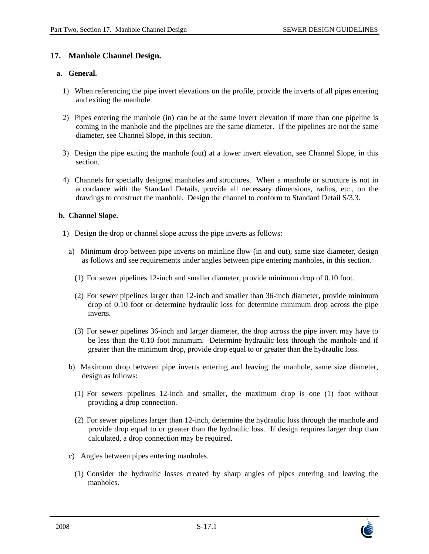# **17. Manhole Channel Design.**

## **a. General.**

- 1) When referencing the pipe invert elevations on the profile, provide the inverts of all pipes entering and exiting the manhole.
- 2) Pipes entering the manhole (in) can be at the same invert elevation if more than one pipeline is coming in the manhole and the pipelines are the same diameter. If the pipelines are not the same diameter, see Channel Slope, in this section.
- 3) Design the pipe exiting the manhole (out) at a lower invert elevation, see Channel Slope, in this section.
- 4) Channels for specially designed manholes and structures. When a manhole or structure is not in accordance with the Standard Details, provide all necessary dimensions, radius, etc., on the drawings to construct the manhole. Design the channel to conform to Standard Detail S/3.3.

## **b. Channel Slope.**

- 1) Design the drop or channel slope across the pipe inverts as follows:
	- a) Minimum drop between pipe inverts on mainline flow (in and out), same size diameter, design as follows and see requirements under angles between pipe entering manholes, in this section.
		- (1) For sewer pipelines 12-inch and smaller diameter, provide minimum drop of 0.10 foot.
		- (2) For sewer pipelines larger than 12-inch and smaller than 36-inch diameter, provide minimum drop of 0.10 foot or determine hydraulic loss for determine minimum drop across the pipe inverts.
		- (3) For sewer pipelines 36-inch and larger diameter, the drop across the pipe invert may have to be less than the 0.10 foot minimum. Determine hydraulic loss through the manhole and if greater than the minimum drop, provide drop equal to or greater than the hydraulic loss.
	- b) Maximum drop between pipe inverts entering and leaving the manhole, same size diameter, design as follows:
		- (1) For sewers pipelines 12-inch and smaller, the maximum drop is one (1) foot without providing a drop connection.
		- (2) For sewer pipelines larger than 12-inch, determine the hydraulic loss through the manhole and provide drop equal to or greater than the hydraulic loss. If design requires larger drop than calculated, a drop connection may be required.
	- c) Angles between pipes entering manholes.
		- (1) Consider the hydraulic losses created by sharp angles of pipes entering and leaving the manholes.

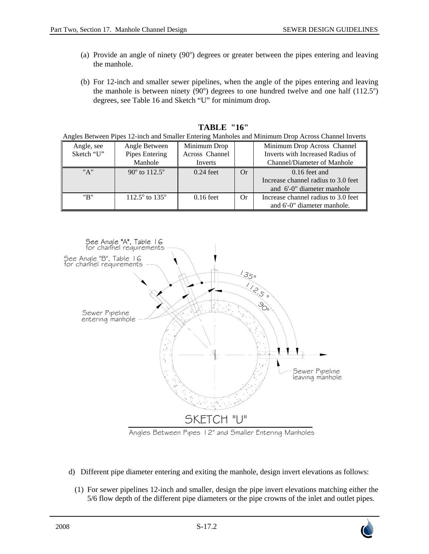- (a) Provide an angle of ninety (90) degrees or greater between the pipes entering and leaving the manhole.
- (b) For 12-inch and smaller sewer pipelines, when the angle of the pipes entering and leaving the manhole is between ninety  $(90^{\circ})$  degrees to one hundred twelve and one half  $(112.5^{\circ})$ degrees, see Table 16 and Sketch "U" for minimum drop.

| Angle, see | Angle Between                    | Minimum Drop   |    | Minimum Drop Across Channel         |
|------------|----------------------------------|----------------|----|-------------------------------------|
| Sketch "U" | Pipes Entering                   | Across Channel |    | Inverts with Increased Radius of    |
|            | Manhole                          | Inverts        |    | <b>Channel/Diameter of Manhole</b>  |
| "A"        | $90^{\circ}$ to $112.5^{\circ}$  | $0.24$ feet    | Or | $0.16$ feet and                     |
|            |                                  |                |    | Increase channel radius to 3.0 feet |
|            |                                  |                |    | and 6'-0" diameter manhole          |
| "B"        | $112.5^{\circ}$ to $135^{\circ}$ | $0.16$ feet    | Or | Increase channel radius to 3.0 feet |
|            |                                  |                |    | and 6'-0" diameter manhole.         |

#### **TABLE "16"**

Angles Between Pipes 12-inch and Smaller Entering Manholes and Minimum Drop Across Channel Inverts



- d) Different pipe diameter entering and exiting the manhole, design invert elevations as follows:
	- (1) For sewer pipelines 12-inch and smaller, design the pipe invert elevations matching either the 5/6 flow depth of the different pipe diameters or the pipe crowns of the inlet and outlet pipes.

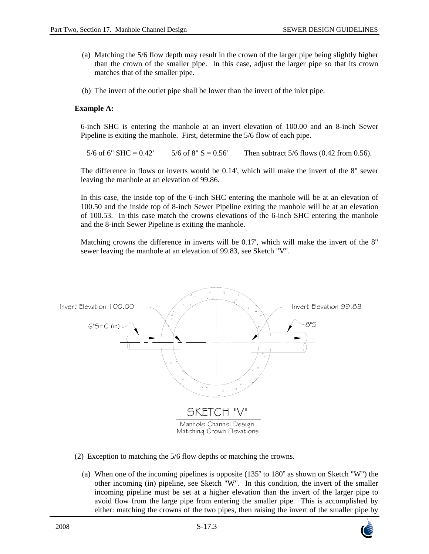- (a) Matching the 5/6 flow depth may result in the crown of the larger pipe being slightly higher than the crown of the smaller pipe. In this case, adjust the larger pipe so that its crown matches that of the smaller pipe.
- (b) The invert of the outlet pipe shall be lower than the invert of the inlet pipe.

## **Example A:**

6-inch SHC is entering the manhole at an invert elevation of 100.00 and an 8-inch Sewer Pipeline is exiting the manhole. First, determine the 5/6 flow of each pipe.

5/6 of 6" SHC =  $0.42'$  5/6 of 8" S =  $0.56'$  Then subtract 5/6 flows (0.42 from 0.56).

The difference in flows or inverts would be 0.14', which will make the invert of the 8" sewer leaving the manhole at an elevation of 99.86.

In this case, the inside top of the 6-inch SHC entering the manhole will be at an elevation of 100.50 and the inside top of 8-inch Sewer Pipeline exiting the manhole will be at an elevation of 100.53. In this case match the crowns elevations of the 6-inch SHC entering the manhole and the 8-inch Sewer Pipeline is exiting the manhole.

Matching crowns the difference in inverts will be 0.17', which will make the invert of the 8" sewer leaving the manhole at an elevation of 99.83, see Sketch "V".



- (2) Exception to matching the 5/6 flow depths or matching the crowns.
	- (a) When one of the incoming pipelines is opposite  $(135^{\circ}$  to  $180^{\circ}$  as shown on Sketch "W") the other incoming (in) pipeline, see Sketch "W". In this condition, the invert of the smaller incoming pipeline must be set at a higher elevation than the invert of the larger pipe to avoid flow from the large pipe from entering the smaller pipe. This is accomplished by either: matching the crowns of the two pipes, then raising the invert of the smaller pipe by

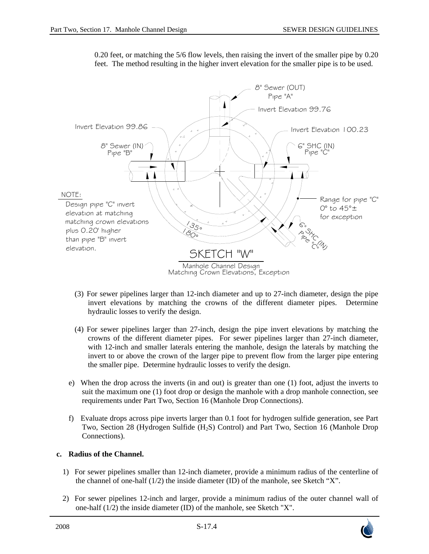

0.20 feet, or matching the 5/6 flow levels, then raising the invert of the smaller pipe by 0.20 feet. The method resulting in the higher invert elevation for the smaller pipe is to be used.

- (3) For sewer pipelines larger than 12-inch diameter and up to 27-inch diameter, design the pipe invert elevations by matching the crowns of the different diameter pipes. Determine hydraulic losses to verify the design.
- (4) For sewer pipelines larger than 27-inch, design the pipe invert elevations by matching the crowns of the different diameter pipes. For sewer pipelines larger than 27-inch diameter, with 12-inch and smaller laterals entering the manhole, design the laterals by matching the invert to or above the crown of the larger pipe to prevent flow from the larger pipe entering the smaller pipe. Determine hydraulic losses to verify the design.
- e) When the drop across the inverts (in and out) is greater than one (1) foot, adjust the inverts to suit the maximum one (1) foot drop or design the manhole with a drop manhole connection, see requirements under Part Two, Section 16 (Manhole Drop Connections).
- f) Evaluate drops across pipe inverts larger than 0.1 foot for hydrogen sulfide generation, see Part Two, Section 28 (Hydrogen Sulfide (H<sub>2</sub>S) Control) and Part Two, Section 16 (Manhole Drop Connections).

# **c. Radius of the Channel.**

- 1) For sewer pipelines smaller than 12-inch diameter, provide a minimum radius of the centerline of the channel of one-half (1/2) the inside diameter (ID) of the manhole, see Sketch "X".
- 2) For sewer pipelines 12-inch and larger, provide a minimum radius of the outer channel wall of one-half (1/2) the inside diameter (ID) of the manhole, see Sketch "X".

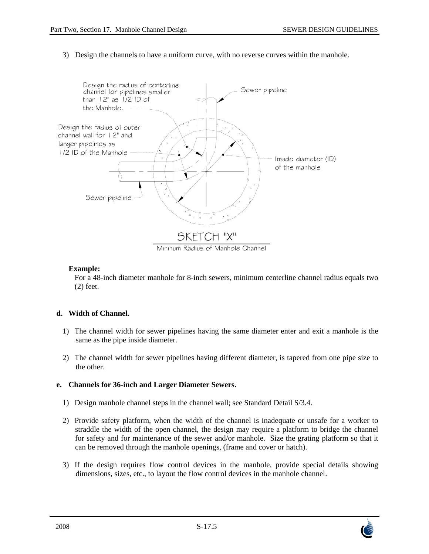3) Design the channels to have a uniform curve, with no reverse curves within the manhole.



# **Example:**

For a 48-inch diameter manhole for 8-inch sewers, minimum centerline channel radius equals two (2) feet.

# **d. Width of Channel.**

- 1) The channel width for sewer pipelines having the same diameter enter and exit a manhole is the same as the pipe inside diameter.
- 2) The channel width for sewer pipelines having different diameter, is tapered from one pipe size to the other.

# **e. Channels for 36-inch and Larger Diameter Sewers.**

- 1) Design manhole channel steps in the channel wall; see Standard Detail S/3.4.
- 2) Provide safety platform, when the width of the channel is inadequate or unsafe for a worker to straddle the width of the open channel, the design may require a platform to bridge the channel for safety and for maintenance of the sewer and/or manhole. Size the grating platform so that it can be removed through the manhole openings, (frame and cover or hatch).
- 3) If the design requires flow control devices in the manhole, provide special details showing dimensions, sizes, etc., to layout the flow control devices in the manhole channel.